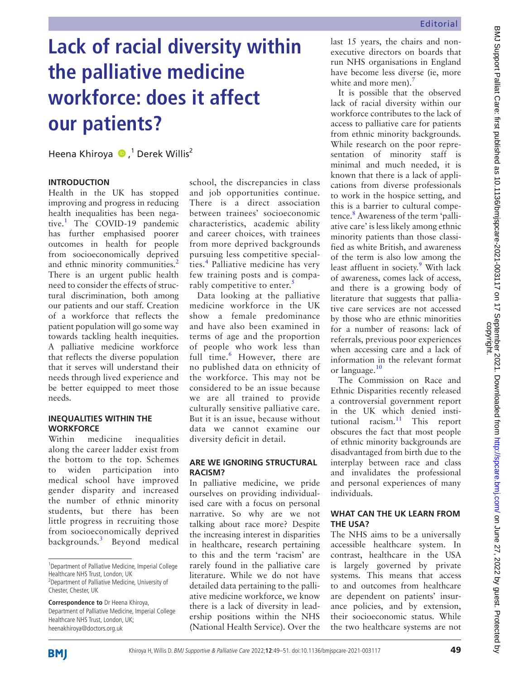# **Lack of racial diversity within the palliative medicine workforce: does it affect our patients?**

HeenaKhiroya D,<sup>1</sup> Derek Willis<sup>2</sup>

# **Introduction**

Health in the UK has stopped improving and progress in reducing health inequalities has been negative.[1](#page-1-0) The COVID-19 pandemic has further emphasised poorer outcomes in health for people from socioeconomically deprived and ethnic minority communities.<sup>2</sup> There is an urgent public health need to consider the effects of structural discrimination, both among our patients and our staff. Creation of a workforce that reflects the patient population will go some way towards tackling health inequities. A palliative medicine workforce that reflects the diverse population that it serves will understand their needs through lived experience and be better equipped to meet those needs.

## **Inequalities within the workforce**

Within medicine inequalities along the career ladder exist from the bottom to the top. Schemes to widen participation into medical school have improved gender disparity and increased the number of ethnic minority students, but there has been little progress in recruiting those from socioeconomically deprived backgrounds.[3](#page-1-2) Beyond medical

school, the discrepancies in class and job opportunities continue. There is a direct association between trainees' socioeconomic characteristics, academic ability and career choices, with trainees from more deprived backgrounds pursuing less competitive special-ties.<sup>[4](#page-1-3)</sup> Palliative medicine has very few training posts and is compa-rably competitive to enter.<sup>[5](#page-2-0)</sup>

Data looking at the palliative medicine workforce in the UK show a female predominance and have also been examined in terms of age and the proportion of people who work less than full time.<sup>[6](#page-2-1)</sup> However, there are no published data on ethnicity of the workforce. This may not be considered to be an issue because we are all trained to provide culturally sensitive palliative care. But it is an issue, because without data we cannot examine our diversity deficit in detail.

# **Are we ignoring structural racism?**

In palliative medicine, we pride ourselves on providing individualised care with a focus on personal narrative. So why are we not talking about race more? Despite the increasing interest in disparities in healthcare, research pertaining to this and the term 'racism' are rarely found in the palliative care literature. While we do not have detailed data pertaining to the palliative medicine workforce, we know there is a lack of diversity in leadership positions within the NHS (National Health Service). Over the

last 15 years, the chairs and nonexecutive directors on boards that run NHS organisations in England have become less diverse (ie, more white and more men). $\frac{7}{2}$ 

It is possible that the observed lack of racial diversity within our workforce contributes to the lack of access to palliative care for patients from ethnic minority backgrounds. While research on the poor representation of minority staff is minimal and much needed, it is known that there is a lack of applications from diverse professionals to work in the hospice setting, and this is a barrier to cultural compe-tence.<sup>[8](#page-2-3)</sup> Awareness of the term 'palliative care' is less likely among ethnic minority patients than those classified as white British, and awareness of the term is also low among the least affluent in society.<sup>[9](#page-2-4)</sup> With lack of awareness, comes lack of access, and there is a growing body of literature that suggests that palliative care services are not accessed by those who are ethnic minorities for a number of reasons: lack of referrals, previous poor experiences when accessing care and a lack of information in the relevant format or language.<sup>10</sup>

The Commission on Race and Ethnic Disparities recently released a controversial government report in the UK which denied institutional racism. $11$  This report obscures the fact that most people of ethnic minority backgrounds are disadvantaged from birth due to the interplay between race and class and invalidates the professional and personal experiences of many individuals.

## **What can the UK learn from the USA?**

The NHS aims to be a universally accessible healthcare system. In contrast, healthcare in the USA is largely governed by private systems. This means that access to and outcomes from healthcare are dependent on patients' insurance policies, and by extension, their socioeconomic status. While the two healthcare systems are not



<sup>&</sup>lt;sup>1</sup>Department of Palliative Medicine, Imperial College Healthcare NHS Trust, London, UK

<sup>&</sup>lt;sup>2</sup>Department of Palliative Medicine, University of Chester, Chester, UK

**Correspondence to** Dr Heena Khiroya, Department of Palliative Medicine, Imperial College Healthcare NHS Trust, London, UK; heenakhiroya@doctors.org.uk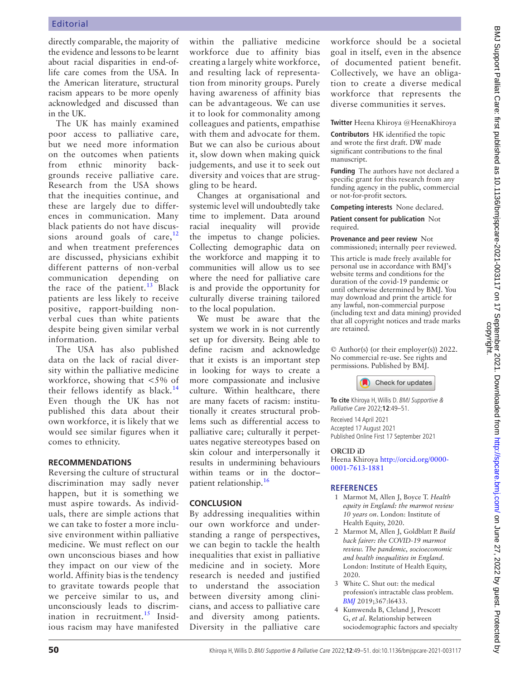directly comparable, the majority of the evidence and lessons to be learnt about racial disparities in end-oflife care comes from the USA. In the American literature, structural racism appears to be more openly acknowledged and discussed than in the UK.

The UK has mainly examined poor access to palliative care, but we need more information on the outcomes when patients from ethnic minority backgrounds receive palliative care. Research from the USA shows that the inequities continue, and these are largely due to differences in communication. Many black patients do not have discussions around goals of care, $12$ and when treatment preferences are discussed, physicians exhibit different patterns of non-verbal communication depending on the race of the patient.<sup>13</sup> Black patients are less likely to receive positive, rapport-building nonverbal cues than white patients despite being given similar verbal information.

The USA has also published data on the lack of racial diversity within the palliative medicine workforce, showing that <5% of their fellows identify as black.<sup>[14](#page-2-9)</sup> Even though the UK has not published this data about their own workforce, it is likely that we would see similar figures when it comes to ethnicity.

## **Recommendations**

Reversing the culture of structural discrimination may sadly never happen, but it is something we must aspire towards. As individuals, there are simple actions that we can take to foster a more inclusive environment within palliative medicine. We must reflect on our own unconscious biases and how they impact on our view of the world. Affinity bias is the tendency to gravitate towards people that we perceive similar to us, and unconsciously leads to discrimination in recruitment.<sup>15</sup> Insidious racism may have manifested

within the palliative medicine workforce due to affinity bias creating a largely white workforce, and resulting lack of representation from minority groups. Purely having awareness of affinity bias can be advantageous. We can use it to look for commonality among colleagues and patients, empathise with them and advocate for them. But we can also be curious about it, slow down when making quick judgements, and use it to seek out diversity and voices that are struggling to be heard.

Changes at organisational and systemic level will undoubtedly take time to implement. Data around racial inequality will provide the impetus to change policies. Collecting demographic data on the workforce and mapping it to communities will allow us to see where the need for palliative care is and provide the opportunity for culturally diverse training tailored to the local population.

We must be aware that the system we work in is not currently set up for diversity. Being able to define racism and acknowledge that it exists is an important step in looking for ways to create a more compassionate and inclusive culture. Within healthcare, there are many facets of racism: institutionally it creates structural problems such as differential access to palliative care; culturally it perpetuates negative stereotypes based on skin colour and interpersonally it results in undermining behaviours within teams or in the doctor– patient relationship.[16](#page-2-11)

# **Conclusion**

By addressing inequalities within our own workforce and understanding a range of perspectives, we can begin to tackle the health inequalities that exist in palliative medicine and in society. More research is needed and justified to understand the association between diversity among clinicians, and access to palliative care and diversity among patients. Diversity in the palliative care

workforce should be a societal goal in itself, even in the absence of documented patient benefit. Collectively, we have an obligation to create a diverse medical workforce that represents the diverse communities it serves.

**Twitter** Heena Khiroya [@HeenaKhiroya](https://twitter.com/HeenaKhiroya)

**Contributors** HK identified the topic and wrote the first draft. DW made significant contributions to the final manuscript.

**Funding** The authors have not declared a specific grant for this research from any funding agency in the public, commercial or not-for-profit sectors.

**Competing interests** None declared.

**Patient consent for publication** Not required.

**Provenance and peer review** Not commissioned; internally peer reviewed.

This article is made freely available for personal use in accordance with BMJ's website terms and conditions for the duration of the covid-19 pandemic or until otherwise determined by BMJ. You may download and print the article for any lawful, non-commercial purpose (including text and data mining) provided that all copyright notices and trade marks are retained.

© Author(s) (or their employer(s)) 2022. No commercial re-use. See rights and permissions. Published by BMJ.



**To cite** Khiroya H, Willis D. BMJ Supportive & Palliative Care 2022;**12**:49–51.

Received 14 April 2021 Accepted 17 August 2021 Published Online First 17 September 2021

## **ORCID iD**

Heena Khiroya [http://orcid.org/0000-](http://orcid.org/0000-0001-7613-1881) [0001-7613-1881](http://orcid.org/0000-0001-7613-1881)

# **References**

- <span id="page-1-0"></span>1 Marmot M, Allen J, Boyce T. *Health equity in England: the marmot review 10 years on*. London: Institute of Health Equity, 2020.
- <span id="page-1-1"></span>2 Marmot M, Allen J, Goldblatt P. *Build back fairer: the COVID-19 marmot review. The pandemic, socioeconomic and health inequalities in England*. London: Institute of Health Equity, 2020.
- <span id="page-1-2"></span>3 White C. Shut out: the medical profession's intractable class problem. *[BMJ](http://dx.doi.org/10.1136/bmj.l6433)* 2019;367:l6433.
- <span id="page-1-3"></span>4 Kumwenda B, Cleland J, Prescott G, *et al*. Relationship between sociodemographic factors and specialty